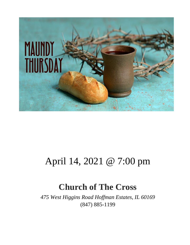

## April 14, 2021 @ 7:00 pm

## **Church of The Cross**

*475 West Higgins Road Hoffman Estates, IL 60169* (847) 885-1199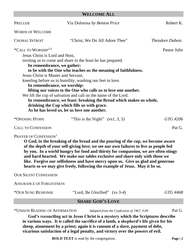#### **WELCOME ALL**

| PRELUDE                             | Via Dolorosa by Benton Price                                       | Robert K.              |
|-------------------------------------|--------------------------------------------------------------------|------------------------|
| <b>WORDS OF WELCOME</b>             |                                                                    |                        |
| <b>CHORAL INTROIT</b>               | "Christ, We Do All Adore Thee"                                     | <i>Theodore Dubois</i> |
| *CALL TO WORSHIP <sup>1/2</sup>     |                                                                    | Pastor Julie           |
| Jesus Christ is Lord and Host,      |                                                                    |                        |
|                                     | inviting us to come and share in the feast he has prepared.        |                        |
| In remembrance, we gather:          |                                                                    |                        |
|                                     | to be with the One who teaches us the meaning of faithfulness.     |                        |
| Jesus Christ is Master and Servant, |                                                                    |                        |
|                                     | kneeling before us in humility, washing our feet in love.          |                        |
| In remembrance, we worship:         |                                                                    |                        |
|                                     | lifting our voices to the One who calls us to love one another.    |                        |
|                                     | We lift the cup of salvation and call on the name of the Lord.     |                        |
|                                     | In remembrance, we feast: breaking the Bread which makes us whole, |                        |
|                                     | drinking the Cup which fills us with grace.                        |                        |
|                                     |                                                                    |                        |
|                                     | As he has loved us, let us love one another.                       |                        |
| *OPENING HYMN                       | "This is the Night" $(vs1, 3, 5)$                                  | GTG #206               |
| <b>CALL TO CONFESSION</b>           |                                                                    | Pat G.                 |

#### PRAYER OF CONFESSION<sup>1</sup>

**O God, in the breaking of the bread and the pouring of the cup, we become aware of the depth of your self-giving love; we see our own failures to live as people fed by you. In a world hungry for food and thirsty for compassion, we are often stingy and hard hearted. We make our tables exclusive and share only with those we like. Forgive our selfishness and have mercy upon us. Give us glad and generous hearts so we may give freely, following the example of Jesus. May it be so.**

OUR SILENT CONFESSION

ASSURANCE OF FORGIVENESS

\*OUR SUNG RESPONSE "Lord, Be Glorified" (vs 3-4) *GTG #468*

#### **SHARE GOD'S LOVE**

\*UNISON READING OF AFFIRMATION *Adapted from the Confession of 1967, 9.09* Pat G.

**God's reconciling act in Jesus Christ is a mystery which the Scriptures describe in various ways. It is called the sacrifice of a lamb, a shepherd's life given for his sheep, atonement by a priest; again it is ransom of a slave, payment of debt, vicarious satisfaction of a legal penalty, and victory over the powers of evil.** 

**BOLD TEXT** is read by the congregation. **Page | 2**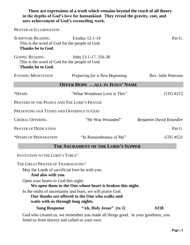| sure achievement of God's reconciling work.                                                                                 | These are expressions of a truth which remains beyond the reach of all theory<br>in the depths of God's love for humankind. They reveal the gravity, cost, and |                         |  |  |
|-----------------------------------------------------------------------------------------------------------------------------|----------------------------------------------------------------------------------------------------------------------------------------------------------------|-------------------------|--|--|
| PRAYER OF ILLUMINATION                                                                                                      |                                                                                                                                                                |                         |  |  |
| <b>SCRIPTURE READING</b><br>Exodus 12:1-14<br>Pat G.<br>This is the word of God for the people of God.<br>Thanks be to God. |                                                                                                                                                                |                         |  |  |
| <b>GOSPEL READING</b><br>This is the word of God for the people of God.<br><b>Thanks be to God.</b>                         | John 13:1-17, 31b-38                                                                                                                                           |                         |  |  |
| <b>EVENING MEDITATION</b>                                                                                                   | Preparing for a New Beginning                                                                                                                                  | Rev. Julie Peterson     |  |  |
| <b>OFFER HOPE  ALL IN JESUS' NAME</b>                                                                                       |                                                                                                                                                                |                         |  |  |
| *HYMN                                                                                                                       | "What Wondrous Love is This"                                                                                                                                   | GTG #215                |  |  |
| PRAYERS OF THE PEOPLE AND THE LORD'S PRAYER                                                                                 |                                                                                                                                                                |                         |  |  |
| PRESENTING OUR TITHES AND OFFERINGS TO GOD                                                                                  |                                                                                                                                                                |                         |  |  |
| <b>CHORAL OFFERING</b>                                                                                                      | "He Was Wounded"                                                                                                                                               | Benjamin David Knoedler |  |  |
| <b>PRAYER OF DEDICATION</b>                                                                                                 |                                                                                                                                                                | Pat G.                  |  |  |
| *HYMN OF PREPARATION                                                                                                        | "In Remembrance of Me"                                                                                                                                         | GTG #521                |  |  |
|                                                                                                                             | THE SACRAMENT OF THE LORD'S SUPPER                                                                                                                             |                         |  |  |
| <b>INVITATION TO THE LORD'S TABLE<sup>3</sup></b>                                                                           |                                                                                                                                                                |                         |  |  |
| THE GREAT PRAYER OF THANKSGIVING <sup>3</sup><br>May the Lamb of sacrificial love be with you.                              |                                                                                                                                                                |                         |  |  |

#### **And also with you.**

Open your hearts to God this night.

**We open them to the One whose heart is broken this night.** 

In the midst of uncertainty and fears, we will praise God.

### **Our thanks are offered to the One who walks and**

**waits with us through long nights.**

**Sung Response "Ah, Holy Jesus"** *(vs 1)* **#218**

God who created us, we remember you made all things good. In your goodness, you freed us from slavery and called us your own.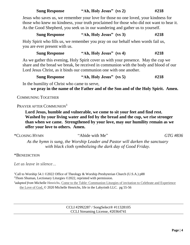| <b>Sung Response</b> | "Ah, Holy Jesus" (vs 2) | #218 |
|----------------------|-------------------------|------|
|----------------------|-------------------------|------|

Jesus who saves us, we remember your love for those no one loved, your kindness for those who knew no kindness, your truth proclaimed for those who did not want to hear it. As the Good Shepherd, you seek us in our wandering and gather us to yourself.

|  | <b>Sung Response</b> | "Ah, Holy Jesus" (vs 3) | #218 |
|--|----------------------|-------------------------|------|
|--|----------------------|-------------------------|------|

Holy Spirit who fills us, we remember you pray on our behalf when words fail us, you are ever present with us.

#### **Sung Response "Ah, Holy Jesus" (vs 4) #218**

As we gather this evening, Holy Spirit cover us with your presence. May the cup we share and the bread we break, be received in communion with the body and blood of our Lord Jesus Christ, as it binds our communion one with one another.

| <b>Sung Response</b> | "Ah, Holy Jesus" (vs 5) | #218 |
|----------------------|-------------------------|------|
|                      |                         |      |

In the humility of Christ who came to serve,

**we pray in the name of the Father and of the Son and of the Holy Spirit. Amen.**

COMMUNING TOGETHER

#### PRAYER AFTER COMMUNION<sup>3</sup>

**Lord Jesus, humble and vulnerable, we come to sit your feet and find rest. Washed by your living water and fed by the bread and the cup, we rise stronger than when we came. Strengthened by your love, may our humility remain as we offer your love to others. Amen.** 

#### \*CLOSING HYMN "Abide with Me" *GTG #836*

*As the hymn is sung, the Worship Leader and Pastor will darken the sanctuary with black cloth symbolizing the dark day of Good Friday.*

#### \*BENEDICTION

*Let us leave in silence…*

<sup>1</sup>Call to Worship 54.1 ©2022 Office of Theology & Worship Presbyterian Church (U.S.A.) p88 <sup>2</sup>Thom Shuman, Lectionary Liturgies ©2022, reprinted with permission.

<sup>3</sup>*adapted from* Michelle Henrichs, Come to the Table: Communion Liturgies of invitation to Celebrate and Experience the Love of God, © 2020 Michelle Henrichs, life in the Labyrinth LLC. pg 55-56

> CCLI #2992287 / SongSelect® #11328105 CCLI Streaming License, #20364741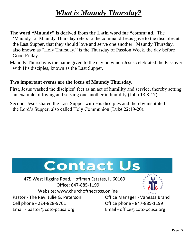### *What is Maundy Thursday?*

- **The word "Maundy" is derived from the Latin word for "command.** The 'Maundy' of Maundy Thursday refers to the command Jesus gave to the disciples at the Last Supper, that they should love and serve one another. Maundy Thursday, also known as "Holy Thursday," is the Thursday of [Passion Week,](http://www.gotquestions.org/Passion-Week.html) the day before Good Friday.
- Maundy Thursday is the name given to the day on which Jesus celebrated the Passover with His disciples, known as the Last Supper.

#### **Two important events are the focus of Maundy Thursday.**

- First, Jesus washed the disciples' feet as an act of humility and service, thereby setting an example of loving and serving one another in humility [\(John 13:3-17\)](http://bible.logos.com/passage/niv/John%2013.3-17).
- Second, Jesus shared the Last Supper with His disciples and thereby instituted the Lord's Supper, also called Holy Communion [\(Luke 22:19-20\)](http://bible.logos.com/passage/niv/Luke%2022.19-20).



 475 West Higgins Road, Hoffman Estates, IL 60169 Office: 847-885-1199 Website: www.churchofthecross.online

Pastor - The Rev. Julie G. Peterson Cell phone - 224-828-9761 Email - [pastor@cotc-pcusa.org](mailto:pastor@cotc-pcusa.org)

Office Manager - Vanessa Brand Office phone - 847-885-1199 Email - [office@cotc-pcusa.org](mailto:office@cotc-pcusa.org)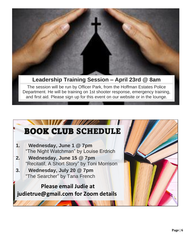

### **Leadership Training Session – April 23rd @ 8am**

The session will be run by Officer Park, from the Hoffman Estates Police Department. He will be training on 1st shooter response, emergency training, and first aid. Please sign up for this event on our website or in the lounge.

### **A MINISTRA** BOOK CLUB SCHEDULE **1. Wednesday, June 1 @ 7pm** "The Night Watchman" by Louise Erdrich **2. Wednesday, June 15 @ 7pm** "Recitatif, A Short Story" by Toni Morrison **3. Wednesday, July 20 @ 7pm** "The Searcher" by Tana French  **Please email Judie at [judietrue@gmail.com](mailto:judietrue@gmail.com) for Zoom details**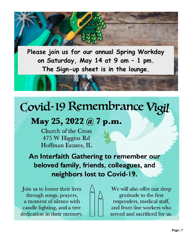**Please join us for our annual Spring Workday on Saturday, May 14 at 9 am – 1 pm. The Sign-up sheet is in the lounge.**

# Covid-19 Remembrance Vigil

## May 25, 2022 @ 7 p.m.

**Church of the Cross** 475 W Higgins Rd Hoffman Estates, IL

An Interfaith Gathering to remember our beloved family, friends, colleagues, and neighbors lost to Covid-19.

Join us to honor their lives through songs, prayers, a moment of silence with candle lighting, and a tree dedication in their memory.



We will also offer our deep gratitude to the first responders, medical staff, and front line workers who served and sacrificed for us.